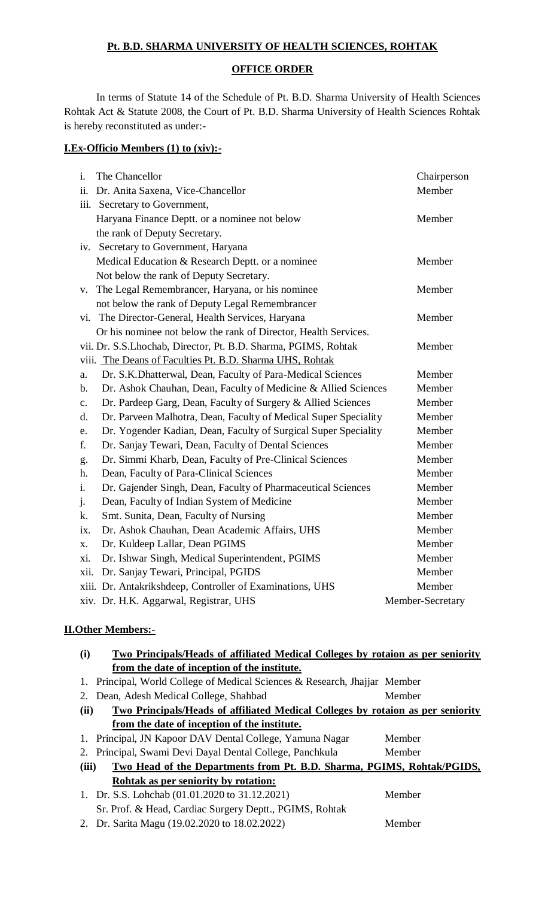# **Pt. B.D. SHARMA UNIVERSITY OF HEALTH SCIENCES, ROHTAK**

## **OFFICE ORDER**

In terms of Statute 14 of the Schedule of Pt. B.D. Sharma University of Health Sciences Rohtak Act & Statute 2008, the Court of Pt. B.D. Sharma University of Health Sciences Rohtak is hereby reconstituted as under:-

# **I.Ex-Officio Members (1) to (xiv):-**

| $\mathbf{i}$ . | The Chancellor                                                  | Chairperson      |
|----------------|-----------------------------------------------------------------|------------------|
| ii.            | Dr. Anita Saxena, Vice-Chancellor                               | Member           |
|                | iii. Secretary to Government,                                   |                  |
|                | Haryana Finance Deptt. or a nominee not below                   | Member           |
|                | the rank of Deputy Secretary.                                   |                  |
|                | iv. Secretary to Government, Haryana                            |                  |
|                | Medical Education & Research Deptt. or a nominee                | Member           |
|                | Not below the rank of Deputy Secretary.                         |                  |
| V.             | The Legal Remembrancer, Haryana, or his nominee                 | Member           |
|                | not below the rank of Deputy Legal Remembrancer                 |                  |
| vi.            | The Director-General, Health Services, Haryana                  | Member           |
|                | Or his nominee not below the rank of Director, Health Services. |                  |
|                | vii. Dr. S.S.Lhochab, Director, Pt. B.D. Sharma, PGIMS, Rohtak  | Member           |
|                | viii. The Deans of Faculties Pt. B.D. Sharma UHS, Rohtak        |                  |
| a.             | Dr. S.K.Dhatterwal, Dean, Faculty of Para-Medical Sciences      | Member           |
| $\mathbf{b}$ . | Dr. Ashok Chauhan, Dean, Faculty of Medicine & Allied Sciences  | Member           |
| $\mathbf{c}$ . | Dr. Pardeep Garg, Dean, Faculty of Surgery & Allied Sciences    | Member           |
| $\mathbf{d}$ . | Dr. Parveen Malhotra, Dean, Faculty of Medical Super Speciality | Member           |
| e.             | Dr. Yogender Kadian, Dean, Faculty of Surgical Super Speciality | Member           |
| f.             | Dr. Sanjay Tewari, Dean, Faculty of Dental Sciences             | Member           |
| g.             | Dr. Simmi Kharb, Dean, Faculty of Pre-Clinical Sciences         | Member           |
| h.             | Dean, Faculty of Para-Clinical Sciences                         | Member           |
| $\mathbf{i}$ . | Dr. Gajender Singh, Dean, Faculty of Pharmaceutical Sciences    | Member           |
| j.             | Dean, Faculty of Indian System of Medicine                      | Member           |
| k.             | Smt. Sunita, Dean, Faculty of Nursing                           | Member           |
| ix.            | Dr. Ashok Chauhan, Dean Academic Affairs, UHS                   | Member           |
| X.             | Dr. Kuldeep Lallar, Dean PGIMS                                  | Member           |
| xi.            | Dr. Ishwar Singh, Medical Superintendent, PGIMS                 | Member           |
| xii.           | Dr. Sanjay Tewari, Principal, PGIDS                             | Member           |
|                | xiii. Dr. Antakrikshdeep, Controller of Examinations, UHS       | Member           |
|                | xiv. Dr. H.K. Aggarwal, Registrar, UHS                          | Member-Secretary |

# **II.Other Members:-**

| (i)                                                                                            | <b>Two Principals/Heads of affiliated Medical Colleges by rotaion as per seniority</b> |        |  |  |
|------------------------------------------------------------------------------------------------|----------------------------------------------------------------------------------------|--------|--|--|
|                                                                                                | from the date of inception of the institute.                                           |        |  |  |
| 1.                                                                                             | Principal, World College of Medical Sciences & Research, Jhajjar Member                |        |  |  |
| 2.                                                                                             | Dean, Adesh Medical College, Shahbad                                                   | Member |  |  |
| <b>Two Principals/Heads of affiliated Medical Colleges by rotaion as per seniority</b><br>(ii) |                                                                                        |        |  |  |
|                                                                                                | from the date of inception of the institute.                                           |        |  |  |
| 1.                                                                                             | Principal, JN Kapoor DAV Dental College, Yamuna Nagar                                  | Member |  |  |
| 2.                                                                                             | Principal, Swami Devi Dayal Dental College, Panchkula                                  | Member |  |  |
| (iii)<br>Two Head of the Departments from Pt. B.D. Sharma, PGIMS, Rohtak/PGIDS,                |                                                                                        |        |  |  |
|                                                                                                | Rohtak as per seniority by rotation:                                                   |        |  |  |
|                                                                                                | 1. Dr. S.S. Lohchab (01.01.2020 to 31.12.2021)                                         | Member |  |  |
|                                                                                                | Sr. Prof. & Head, Cardiac Surgery Deptt., PGIMS, Rohtak                                |        |  |  |
|                                                                                                | 2. Dr. Sarita Magu (19.02.2020 to 18.02.2022)                                          | Member |  |  |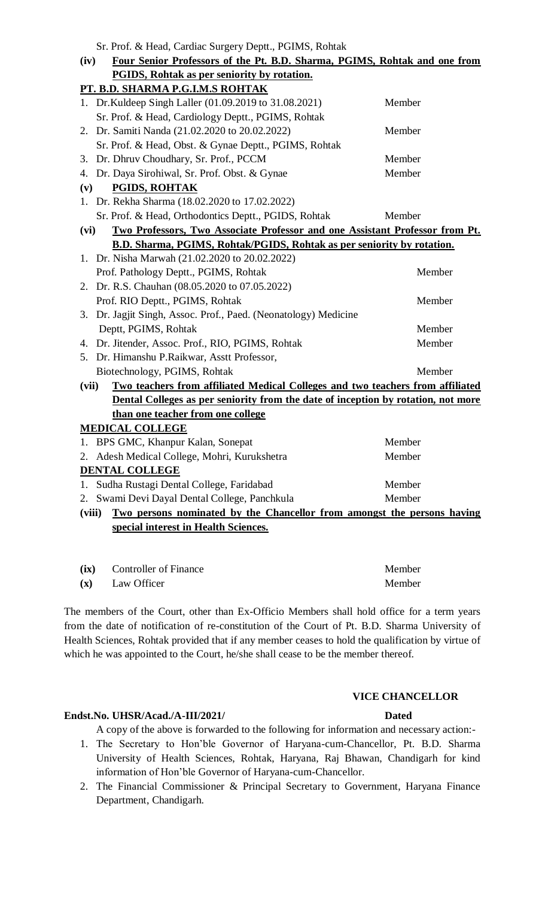Sr. Prof. & Head, Cardiac Surgery Deptt., PGIMS, Rohtak.

|                                                                                          | SI. I IUI. OC HEAU, CAIUIAC SUI GEI Y DEPIU., I CHINIS, KUIIIAN                     |        |  |  |
|------------------------------------------------------------------------------------------|-------------------------------------------------------------------------------------|--------|--|--|
| (iv)                                                                                     | Four Senior Professors of the Pt. B.D. Sharma, PGIMS, Rohtak and one from           |        |  |  |
|                                                                                          | <b>PGIDS, Rohtak as per seniority by rotation.</b>                                  |        |  |  |
|                                                                                          | PT. B.D. SHARMA P.G.I.M.S ROHTAK                                                    |        |  |  |
|                                                                                          | 1. Dr. Kuldeep Singh Laller (01.09.2019 to 31.08.2021)                              | Member |  |  |
|                                                                                          | Sr. Prof. & Head, Cardiology Deptt., PGIMS, Rohtak                                  |        |  |  |
|                                                                                          | 2. Dr. Samiti Nanda (21.02.2020 to 20.02.2022)                                      | Member |  |  |
|                                                                                          | Sr. Prof. & Head, Obst. & Gynae Deptt., PGIMS, Rohtak                               |        |  |  |
|                                                                                          | 3. Dr. Dhruv Choudhary, Sr. Prof., PCCM                                             | Member |  |  |
|                                                                                          | 4. Dr. Daya Sirohiwal, Sr. Prof. Obst. & Gynae                                      | Member |  |  |
| (v)                                                                                      | <b>PGIDS, ROHTAK</b>                                                                |        |  |  |
| 1.                                                                                       | Dr. Rekha Sharma (18.02.2020 to 17.02.2022)                                         |        |  |  |
|                                                                                          | Sr. Prof. & Head, Orthodontics Deptt., PGIDS, Rohtak                                | Member |  |  |
| (vi)                                                                                     | <b>Two Professors, Two Associate Professor and one Assistant Professor from Pt.</b> |        |  |  |
|                                                                                          | <b>B.D. Sharma, PGIMS, Rohtak/PGIDS, Rohtak as per seniority by rotation.</b>       |        |  |  |
|                                                                                          | 1. Dr. Nisha Marwah (21.02.2020 to 20.02.2022)                                      |        |  |  |
|                                                                                          | Prof. Pathology Deptt., PGIMS, Rohtak                                               | Member |  |  |
|                                                                                          | 2. Dr. R.S. Chauhan (08.05.2020 to 07.05.2022)                                      |        |  |  |
|                                                                                          | Prof. RIO Deptt., PGIMS, Rohtak                                                     | Member |  |  |
|                                                                                          | 3. Dr. Jagjit Singh, Assoc. Prof., Paed. (Neonatology) Medicine                     |        |  |  |
|                                                                                          | Deptt, PGIMS, Rohtak                                                                | Member |  |  |
|                                                                                          | 4. Dr. Jitender, Assoc. Prof., RIO, PGIMS, Rohtak                                   | Member |  |  |
|                                                                                          | 5. Dr. Himanshu P.Raikwar, Asstt Professor,                                         |        |  |  |
|                                                                                          | Biotechnology, PGIMS, Rohtak                                                        | Member |  |  |
| (vii)                                                                                    | Two teachers from affiliated Medical Colleges and two teachers from affiliated      |        |  |  |
|                                                                                          | Dental Colleges as per seniority from the date of inception by rotation, not more   |        |  |  |
|                                                                                          | than one teacher from one college                                                   |        |  |  |
|                                                                                          | <b>MEDICAL COLLEGE</b>                                                              |        |  |  |
|                                                                                          | 1. BPS GMC, Khanpur Kalan, Sonepat                                                  | Member |  |  |
|                                                                                          | 2. Adesh Medical College, Mohri, Kurukshetra                                        | Member |  |  |
|                                                                                          | <b>DENTAL COLLEGE</b>                                                               |        |  |  |
| 1.                                                                                       | Sudha Rustagi Dental College, Faridabad                                             | Member |  |  |
| 2.                                                                                       | Swami Devi Dayal Dental College, Panchkula                                          | Member |  |  |
| <u>Two persons nominated by the Chancellor from amongst the persons having</u><br>(viii) |                                                                                     |        |  |  |
|                                                                                          | special interest in Health Sciences.                                                |        |  |  |

| (ix)           | <b>Controller of Finance</b> | Member |
|----------------|------------------------------|--------|
| $(\mathbf{x})$ | Law Officer                  | Member |

The members of the Court, other than Ex-Officio Members shall hold office for a term years from the date of notification of re-constitution of the Court of Pt. B.D. Sharma University of Health Sciences, Rohtak provided that if any member ceases to hold the qualification by virtue of which he was appointed to the Court, he/she shall cease to be the member thereof.

### **VICE CHANCELLOR**

### **Endst.No. UHSR/Acad./A-III/2021/ Dated**

A copy of the above is forwarded to the following for information and necessary action:-

- 1. The Secretary to Hon'ble Governor of Haryana-cum-Chancellor, Pt. B.D. Sharma University of Health Sciences, Rohtak, Haryana, Raj Bhawan, Chandigarh for kind information of Hon'ble Governor of Haryana-cum-Chancellor.
- 2. The Financial Commissioner & Principal Secretary to Government, Haryana Finance Department, Chandigarh.